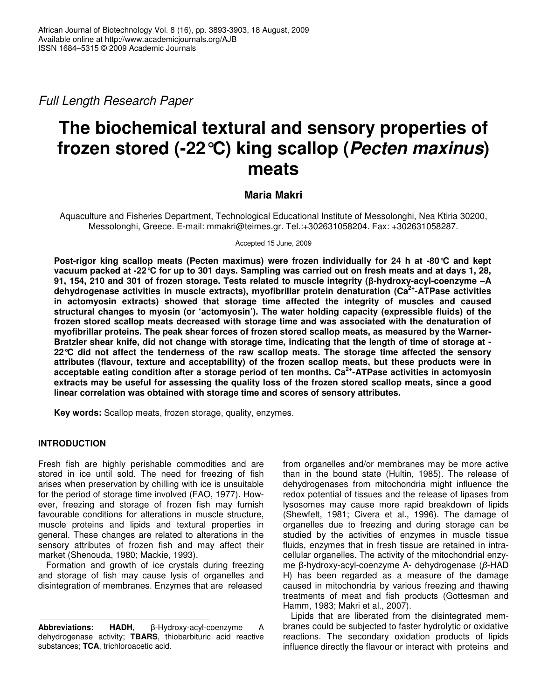*Full Length Research Paper*

# **The biochemical textural and sensory properties of frozen stored (-22°C) king scallop (***Pecten maxinus***) meats**

# **Maria Makri**

Aquaculture and Fisheries Department, Technological Educational Institute of Messolonghi, Nea Ktiria 30200, Messolonghi, Greece. E-mail: mmakri@teimes.gr. Tel.:+302631058204. Fax: +302631058287.

Accepted 15 June, 2009

**Post-rigor king scallop meats (Pecten maximus) were frozen individually for 24 h at -80°C and kept** vacuum packed at -22 °C for up to 301 days. Sampling was carried out on fresh meats and at days 1, 28, **91, 154, 210 and 301 of frozen storage. Tests related to muscle integrity (-hydroxy-acyl-coenzyme –A dehydrogenase activities in muscle extracts), myofibrillar protein denaturation (Ca 2+ -ATPase activities in actomyosin extracts) showed that storage time affected the integrity of muscles and caused structural changes to myosin (or 'actomyosin'). The water holding capacity (expressible fluids) of the frozen stored scallop meats decreased with storage time and was associated with the denaturation of myofibrillar proteins. The peak shear forces of frozen stored scallop meats, as measured by the Warner-**Bratzler shear knife, did not change with storage time, indicating that the length of time of storage at -**22°C did not affect the tenderness of the raw scallop meats. The storage time affected the sensory attributes (flavour, texture and acceptability) of the frozen scallop meats, but these products were in acceptable eating condition after a storage period of ten months. Ca 2+ -ATPase activities in actomyosin** extracts may be useful for assessing the quality loss of the frozen stored scallop meats, since a good **linear correlation was obtained with storage time and scores of sensory attributes.**

**Key words:** Scallop meats, frozen storage, quality, enzymes.

# **INTRODUCTION**

Fresh fish are highly perishable commodities and are stored in ice until sold. The need for freezing of fish arises when preservation by chilling with ice is unsuitable for the period of storage time involved (FAO, 1977). However, freezing and storage of frozen fish may furnish favourable conditions for alterations in muscle structure, muscle proteins and lipids and textural properties in general. These changes are related to alterations in the sensory attributes of frozen fish and may affect their market (Shenouda, 1980; Mackie, 1993).

Formation and growth of ice crystals during freezing and storage of fish may cause lysis of organelles and disintegration of membranes. Enzymes that are released

from organelles and/or membranes may be more active than in the bound state (Hultin, 1985). The release of dehydrogenases from mitochondria might influence the redox potential of tissues and the release of lipases from lysosomes may cause more rapid breakdown of lipids (Shewfelt, 1981; Civera et al., 1996). The damage of organelles due to freezing and during storage can be studied by the activities of enzymes in muscle tissue fluids, enzymes that in fresh tissue are retained in intracellular organelles. The activity of the mitochondrial enzyme  $\beta$ -hydroxy-acyl-coenzyme A- dehydrogenase ( $\beta$ -HAD H) has been regarded as a measure of the damage caused in mitochondria by various freezing and thawing treatments of meat and fish products (Gottesman and Hamm, 1983; Makri et al., 2007).

Lipids that are liberated from the disintegrated membranes could be subjected to faster hydrolytic or oxidative reactions. The secondary oxidation products of lipids influence directly the flavour or interact with proteins and

**Abbreviations: HADH**, β-Hydroxy-acyl-coenzyme A dehydrogenase activity; **TBARS**, thiobarbituric acid reactive substances; **TCA**, trichloroacetic acid.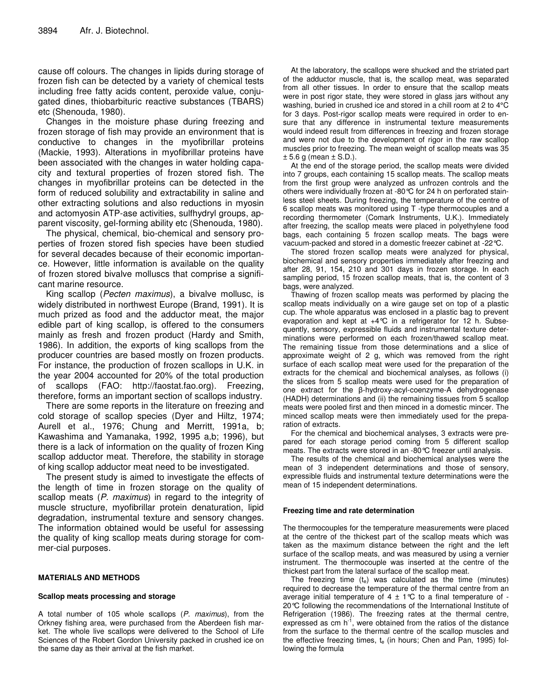cause off colours. The changes in lipids during storage of frozen fish can be detected by a variety of chemical tests including free fatty acids content, peroxide value, conjugated dines, thiobarbituric reactive substances (TBARS) etc (Shenouda, 1980).

Changes in the moisture phase during freezing and frozen storage of fish may provide an environment that is conductive to changes in the myofibrillar proteins (Mackie, 1993). Alterations in myofibrillar proteins have been associated with the changes in water holding capacity and textural properties of frozen stored fish. The changes in myofibrillar proteins can be detected in the form of reduced solubility and extractability in saline and other extracting solutions and also reductions in myosin and actomyosin ATP-ase activities, sulfhydryl groups, apparent viscosity, gel-forming ability etc (Shenouda, 1980).

The physical, chemical, bio-chemical and sensory properties of frozen stored fish species have been studied for several decades because of their economic importance. However, little information is available on the quality of frozen stored bivalve molluscs that comprise a significant marine resource.

King scallop (*Pecten maximus*), a bivalve mollusc, is widely distributed in northwest Europe (Brand, 1991). It is much prized as food and the adductor meat, the major edible part of king scallop, is offered to the consumers mainly as fresh and frozen product (Hardy and Smith, 1986). In addition, the exports of king scallops from the producer countries are based mostly on frozen products. For instance, the production of frozen scallops in U.K. in the year 2004 accounted for 20% of the total production of scallops (FAO: http://faostat.fao.org). Freezing, therefore, forms an important section of scallops industry.

There are some reports in the literature on freezing and cold storage of scallop species (Dyer and Hiltz, 1974; Aurell et al., 1976; Chung and Merritt, 1991a, b; Kawashima and Yamanaka, 1992, 1995 a,b; 1996), but there is a lack of information on the quality of frozen King scallop adductor meat. Therefore, the stability in storage of king scallop adductor meat need to be investigated.

The present study is aimed to investigate the effects of the length of time in frozen storage on the quality of scallop meats (*P. maximus*) in regard to the integrity of muscle structure, myofibrillar protein denaturation, lipid degradation, instrumental texture and sensory changes. The information obtained would be useful for assessing the quality of king scallop meats during storage for commer-cial purposes.

# **MATERIALS AND METHODS**

#### **Scallop meats processing and storage**

A total number of 105 whole scallops (*P. maximus*), from the Orkney fishing area, were purchased from the Aberdeen fish market. The whole live scallops were delivered to the School of Life Sciences of the Robert Gordon University packed in crushed ice on the same day as their arrival at the fish market.

At the laboratory, the scallops were shucked and the striated part of the adductor muscle, that is, the scallop meat, was separated from all other tissues. In order to ensure that the scallop meats were in post rigor state, they were stored in glass jars without any washing, buried in crushed ice and stored in a chill room at 2 to 4°C for 3 days. Post-rigor scallop meats were required in order to ensure that any difference in instrumental texture measurements would indeed result from differences in freezing and frozen storage and were not due to the development of rigor in the raw scallop muscles prior to freezing. The mean weight of scallop meats was 35  $\pm$  5.6 g (mean  $\pm$  S.D.).

At the end of the storage period, the scallop meats were divided into 7 groups, each containing 15 scallop meats. The scallop meats from the first group were analyzed as unfrozen controls and the others were individually frozen at -80°C for 24 h on perforated stainless steel sheets. During freezing, the temperature of the centre of 6 scallop meats was monitored using T -type thermocouples and a recording thermometer (Comark Instruments, U.K.). Immediately after freezing, the scallop meats were placed in polyethylene food bags, each containing 5 frozen scallop meats. The bags were vacuum-packed and stored in a domestic freezer cabinet at -22°C.

The stored frozen scallop meats were analyzed for physical, biochemical and sensory properties immediately after freezing and after 28, 91, 154, 210 and 301 days in frozen storage. In each sampling period, 15 frozen scallop meats, that is, the content of 3 bags, were analyzed.

Thawing of frozen scallop meats was performed by placing the scallop meats individually on a wire gauge set on top of a plastic cup. The whole apparatus was enclosed in a plastic bag to prevent evaporation and kept at +4°C in a refrigerator for 12 h. Subsequently, sensory, expressible fluids and instrumental texture determinations were performed on each frozen/thawed scallop meat. The remaining tissue from those determinations and a slice of approximate weight of 2 g, which was removed from the right surface of each scallop meat were used for the preparation of the extracts for the chemical and biochemical analyses, as follows (i) the slices from 5 scallop meats were used for the preparation of one extract for the  $\beta$ -hydroxy-acyl-coenzyme-A dehydrogenase (HADH) determinations and (ii) the remaining tissues from 5 scallop meats were pooled first and then minced in a domestic mincer. The minced scallop meats were then immediately used for the preparation of extracts.

For the chemical and biochemical analyses, 3 extracts were prepared for each storage period coming from 5 different scallop meats. The extracts were stored in an -80°C freezer until analysis.

The results of the chemical and biochemical analyses were the mean of 3 independent determinations and those of sensory, expressible fluids and instrumental texture determinations were the mean of 15 independent determinations.

#### **Freezing time and rate determination**

The thermocouples for the temperature measurements were placed at the centre of the thickest part of the scallop meats which was taken as the maximum distance between the right and the left surface of the scallop meats, and was measured by using a vernier instrument. The thermocouple was inserted at the centre of the thickest part from the lateral surface of the scallop meat.

The freezing time  $(t_e)$  was calculated as the time (minutes) required to decrease the temperature of the thermal centre from an average initial temperature of  $4 \pm 1$  °C to a final temperature of -20℃ following the recommendations of the International Institute of Refrigeration (1986). The freezing rates at the thermal centre, expressed as cm  $h^{-1}$ , were obtained from the ratios of the distance from the surface to the thermal centre of the scallop muscles and the effective freezing times,  $t_e$  (in hours; Chen and Pan, 1995) following the formula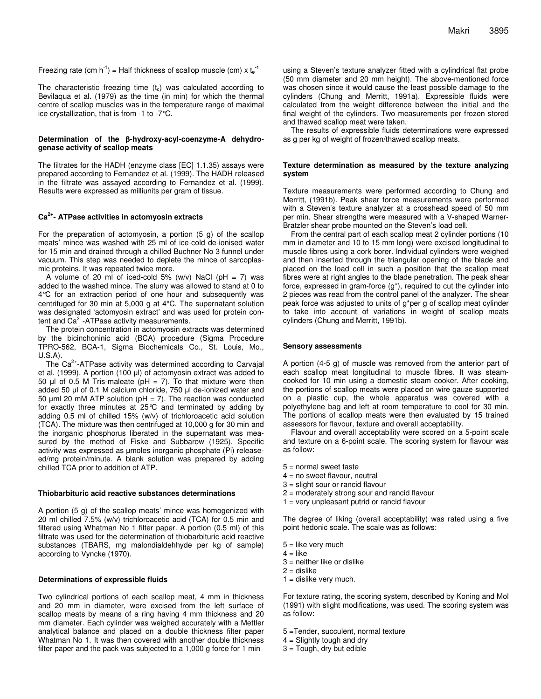Freezing rate (cm  $h^{-1}$ ) = Half thickness of scallop muscle (cm) x  $t_e^{-1}$ 

The characteristic freezing time  $(t_c)$  was calculated according to Bevilaqua et al. (1979) as the time (in min) for which the thermal centre of scallop muscles was in the temperature range of maximal ice crystallization, that is from -1 to -7°C.

#### Determination of the β-hydroxy-acyl-coenzyme-A dehydro**genase activity of scallop meats**

The filtrates for the HADH (enzyme class [EC] 1.1.35) assays were prepared according to Fernandez et al. (1999). The HADH released in the filtrate was assayed according to Fernandez et al. (1999). Results were expressed as milliunits per gram of tissue.

#### **Ca 2+ - ATPase activities in actomyosin extracts**

For the preparation of actomyosin, a portion (5 g) of the scallop meats' mince was washed with 25 ml of ice-cold de-ionised water for 15 min and drained through a chilled Buchner No 3 funnel under vacuum. This step was needed to deplete the mince of sarcoplasmic proteins. It was repeated twice more.

A volume of 20 ml of iced-cold 5% (w/v) NaCl ( $pH = 7$ ) was added to the washed mince. The slurry was allowed to stand at 0 to 4°C for an extraction period of one hour and subsequently was centrifuged for 30 min at 5,000 g at 4°C. The supernatant solution was designated 'actomyosin extract' and was used for protein content and Ca<sup>2+</sup>-ATPase activity measurements.

The protein concentration in actomyosin extracts was determined by the bicinchoninic acid (BCA) procedure (Sigma Procedure TPRO-562, BCA-1, Sigma Biochemicals Co., St. Louis, Mo., U.S.A).

The Ca<sup>2+</sup>-ATPase activity was determined according to Carvajal et al. (1999). A portion (100 µl) of actomyosin extract was added to 50  $\mu$ l of 0.5 M Tris-maleate (pH = 7). To that mixture were then added 50 µl of 0.1 M calcium chloride, 750 µl de-ionized water and 50 µml 20 mM ATP solution (pH = 7). The reaction was conducted for exactly three minutes at 25°C and terminated by adding by adding 0.5 ml of chilled 15% (w/v) of trichloroacetic acid solution (TCA). The mixture was then centrifuged at 10,000 g for 30 min and the inorganic phosphorus liberated in the supernatant was measured by the method of Fiske and Subbarow (1925). Specific activity was expressed as µmoles inorganic phosphate (Pi) releaseed/mg protein/minute. A blank solution was prepared by adding chilled TCA prior to addition of ATP.

#### **Thiobarbituric acid reactive substances determinations**

A portion (5 g) of the scallop meats' mince was homogenized with 20 ml chilled 7.5% (w/v) trichloroacetic acid (TCA) for 0.5 min and filtered using Whatman No 1 filter paper. A portion (0.5 ml) of this filtrate was used for the determination of thiobarbituric acid reactive substances (TBARS, mg malondialdehhyde per kg of sample) according to Vyncke (1970).

#### **Determinations of expressible fluids**

Two cylindrical portions of each scallop meat, 4 mm in thickness and 20 mm in diameter, were excised from the left surface of scallop meats by means of a ring having 4 mm thickness and 20 mm diameter. Each cylinder was weighed accurately with a Mettler analytical balance and placed on a double thickness filter paper Whatman No 1. It was then covered with another double thickness filter paper and the pack was subjected to a 1,000 g force for 1 min

using a Steven's texture analyzer fitted with a cylindrical flat probe (50 mm diameter and 20 mm height). The above-mentioned force was chosen since it would cause the least possible damage to the cylinders (Chung and Merritt, 1991a). Expressible fluids were calculated from the weight difference between the initial and the final weight of the cylinders. Two measurements per frozen stored and thawed scallop meat were taken.

The results of expressible fluids determinations were expressed as g per kg of weight of frozen/thawed scallop meats.

#### **Texture determination as measured by the texture analyzing system**

Texture measurements were performed according to Chung and Merritt, (1991b). Peak shear force measurements were performed with a Steven's texture analyzer at a crosshead speed of 50 mm per min. Shear strengths were measured with a V-shaped Warner-Bratzler shear probe mounted on the Steven's load cell.

From the central part of each scallop meat 2 cylinder portions (10 mm in diameter and 10 to 15 mm long) were excised longitudinal to muscle fibres using a cork borer. Individual cylinders were weighed and then inserted through the triangular opening of the blade and placed on the load cell in such a position that the scallop meat fibres were at right angles to the blade penetration. The peak shear force, expressed in gram-force (g\*), required to cut the cylinder into 2 pieces was read from the control panel of the analyzer. The shear peak force was adjusted to units of g\*per g of scallop meat cylinder to take into account of variations in weight of scallop meats cylinders (Chung and Merritt, 1991b).

#### **Sensory assessments**

A portion (4-5 g) of muscle was removed from the anterior part of each scallop meat longitudinal to muscle fibres. It was steamcooked for 10 min using a domestic steam cooker. After cooking, the portions of scallop meats were placed on wire gauze supported on a plastic cup, the whole apparatus was covered with a polyethylene bag and left at room temperature to cool for 30 min. The portions of scallop meats were then evaluated by 15 trained assessors for flavour, texture and overall acceptability.

Flavour and overall acceptability were scored on a 5-point scale and texture on a 6-point scale. The scoring system for flavour was as follow:

- 5 = normal sweet taste
- $4 = no$  sweet flavour, neutral
- 3 = slight sour or rancid flavour
- 2 = moderately strong sour and rancid flavour
- $1 =$  very unpleasant putrid or rancid flavour

The degree of liking (overall acceptability) was rated using a five point hedonic scale. The scale was as follows:

- $5 =$  like very much
- $4 =$  like
- 3 = neither like or dislike
- $2 =$  dislike
- $1$  = dislike very much.

For texture rating, the scoring system, described by Koning and Mol (1991) with slight modifications, was used. The scoring system was as follow:

- 5 =Tender, succulent, normal texture
- $4 =$  Slightly tough and dry
- 3 = Tough, dry but edible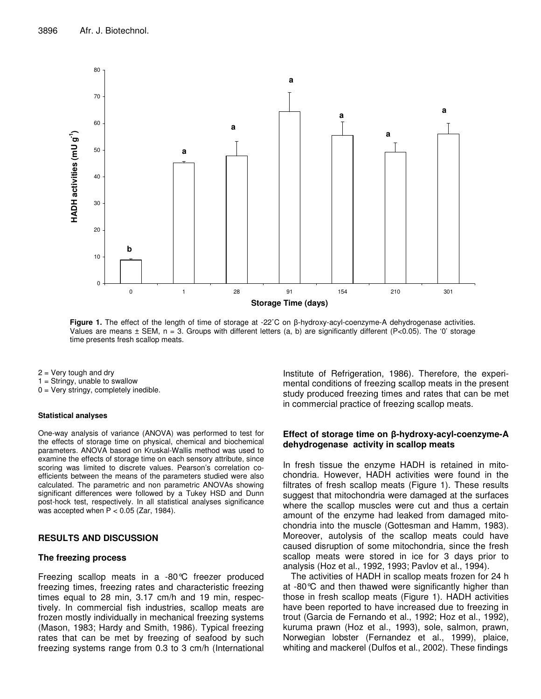

**Figure 1.** The effect of the length of time of storage at -22°C on  $\beta$ -hydroxy-acyl-coenzyme-A dehydrogenase activities. Values are means  $\pm$  SEM, n = 3. Groups with different letters (a, b) are significantly different (P<0.05). The '0' storage time presents fresh scallop meats.

- $2 =$  Very tough and dry
- $1 =$  Stringy, unable to swallow
- 0 = Very stringy, completely inedible.

### **Statistical analyses**

One-way analysis of variance (ANOVA) was performed to test for the effects of storage time on physical, chemical and biochemical parameters. ANOVA based on Kruskal-Wallis method was used to examine the effects of storage time on each sensory attribute, since scoring was limited to discrete values. Pearson's correlation coefficients between the means of the parameters studied were also calculated. The parametric and non parametric ANOVAs showing significant differences were followed by a Tukey HSD and Dunn post-hock test, respectively. In all statistical analyses significance was accepted when  $P < 0.05$  (Zar, 1984).

# **RESULTS AND DISCUSSION**

#### **The freezing process**

Freezing scallop meats in a -80°C freezer produced freezing times, freezing rates and characteristic freezing times equal to 28 min, 3.17 cm/h and 19 min, respectively. In commercial fish industries, scallop meats are frozen mostly individually in mechanical freezing systems (Mason, 1983; Hardy and Smith, 1986). Typical freezing rates that can be met by freezing of seafood by such freezing systems range from 0.3 to 3 cm/h (International Institute of Refrigeration, 1986). Therefore, the experimental conditions of freezing scallop meats in the present study produced freezing times and rates that can be met in commercial practice of freezing scallop meats.

## **Effect of storage time on -hydroxy-acyl-coenzyme-A dehydrogenase activity in scallop meats**

In fresh tissue the enzyme HADH is retained in mitochondria. However, HADH activities were found in the filtrates of fresh scallop meats (Figure 1). These results suggest that mitochondria were damaged at the surfaces where the scallop muscles were cut and thus a certain amount of the enzyme had leaked from damaged mitochondria into the muscle (Gottesman and Hamm, 1983). Moreover, autolysis of the scallop meats could have caused disruption of some mitochondria, since the fresh scallop meats were stored in ice for 3 days prior to analysis (Hoz et al., 1992, 1993; Pavlov et al., 1994).

The activities of HADH in scallop meats frozen for 24 h at -80°C and then thawed were significantly higher than those in fresh scallop meats (Figure 1). HADH activities have been reported to have increased due to freezing in trout (Garcia de Fernando et al., 1992; Hoz et al., 1992), kuruma prawn (Hoz et al., 1993), sole, salmon, prawn, Norwegian lobster (Fernandez et al., 1999), plaice, whiting and mackerel (Dulfos et al., 2002). These findings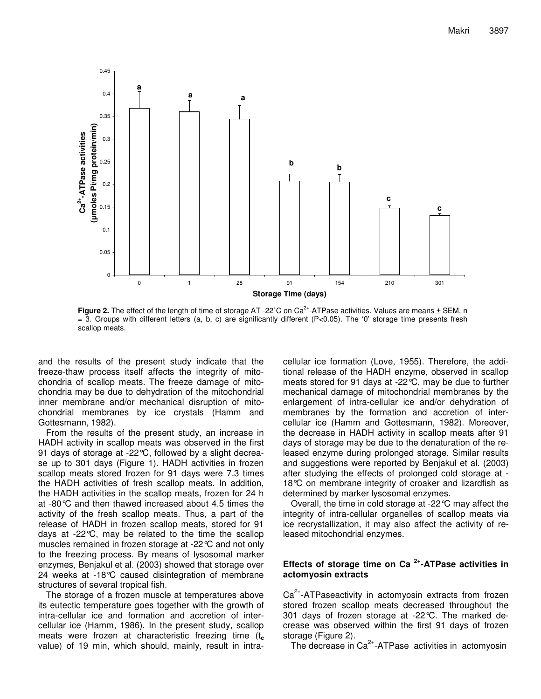

**Figure 2.** The effect of the length of time of storage AT -22°C on Ca<sup>2+</sup>-ATPase activities. Values are means ± SEM, n  $=$  3. Groups with different letters (a, b, c) are significantly different (P<0.05). The '0' storage time presents fresh scallop meats.

and the results of the present study indicate that the freeze-thaw process itself affects the integrity of mitochondria of scallop meats. The freeze damage of mitochondria may be due to dehydration of the mitochondrial inner membrane and/or mechanical disruption of mitochondrial membranes by ice crystals (Hamm and Gottesmann, 1982).

From the results of the present study, an increase in HADH activity in scallop meats was observed in the first 91 days of storage at -22°C, followed by a slight decrease up to 301 days (Figure 1). HADH activities in frozen scallop meats stored frozen for 91 days were 7.3 times the HADH activities of fresh scallop meats. In addition, the HADH activities in the scallop meats, frozen for 24 h at -80°C and then thawed increased about 4.5 times the activity of the fresh scallop meats. Thus, a part of the release of HADH in frozen scallop meats, stored for 91 days at -22°C, may be related to the time the scallop muscles remained in frozen storage at -22°C and not only to the freezing process. By means of lysosomal marker enzymes, Benjakul et al. (2003) showed that storage over 24 weeks at -18°C caused disintegration of membrane structures of several tropical fish.

The storage of a frozen muscle at temperatures above its eutectic temperature goes together with the growth of intra-cellular ice and formation and accretion of intercellular ice (Hamm, 1986). In the present study, scallop meats were frozen at characteristic freezing time (t**<sup>c</sup>** value) of 19 min, which should, mainly, result in intracellular ice formation (Love, 1955). Therefore, the additional release of the HADH enzyme, observed in scallop meats stored for 91 days at -22°C, may be due to further mechanical damage of mitochondrial membranes by the enlargement of intra-cellular ice and/or dehydration of membranes by the formation and accretion of intercellular ice (Hamm and Gottesmann, 1982). Moreover, the decrease in HADH activity in scallop meats after 91 days of storage may be due to the denaturation of the released enzyme during prolonged storage. Similar results and suggestions were reported by Benjakul et al. (2003) after studying the effects of prolonged cold storage at - 18°C on membrane integrity of croaker and lizardfish as determined by marker lysosomal enzymes.

Overall, the time in cold storage at -22°C may affect the integrity of intra-cellular organelles of scallop meats via ice recrystallization, it may also affect the activity of released mitochondrial enzymes.

# **Effects of storage time on Ca 2+ -ATPase activities in actomyosin extracts**

Ca<sup>2+</sup>-ATPaseactivity in actomyosin extracts from frozen stored frozen scallop meats decreased throughout the 301 days of frozen storage at -22°C. The marked decrease was observed within the first 91 days of frozen storage (Figure 2).

The decrease in Ca<sup>2+</sup>-ATPase activities in actomyosin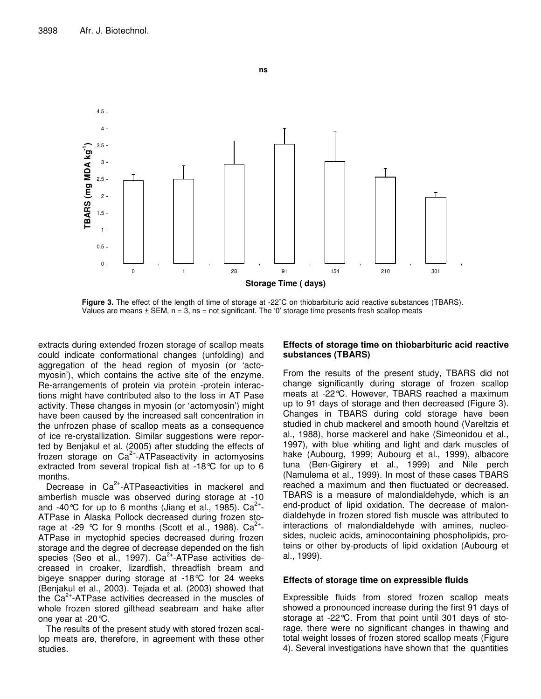

**Figure 3.** The effect of the length of time of storage at -22˚C on thiobarbituric acid reactive substances (TBARS). Values are means  $\pm$  SEM,  $n = 3$ ,  $ns = not$  significant. The '0' storage time presents fresh scallop meats

extracts during extended frozen storage of scallop meats could indicate conformational changes (unfolding) and aggregation of the head region of myosin (or 'actomyosin'), which contains the active site of the enzyme. Re-arrangements of protein via protein -protein interactions might have contributed also to the loss in AT Pase activity. These changes in myosin (or 'actomyosin') might have been caused by the increased salt concentration in the unfrozen phase of scallop meats as a consequence of ice re-crystallization. Similar suggestions were reported by Benjakul et al. (2005) after studding the effects of frozen storage on Ca<sup>2+</sup>-ATPaseactivity in actomyosins extracted from several tropical fish at -18°C for up to 6 months.

Decrease in Ca<sup>2+</sup>-ATPaseactivities in mackerel and amberfish muscle was observed during storage at -10 and -40°C for up to 6 months (Jiang et al., 1985). Ca<sup>2+</sup>-ATPase in Alaska Pollock decreased during frozen storage at -29 °C for 9 months (Scott et al., 1988). Ca<sup>2+</sup>-ATPase in myctophid species decreased during frozen storage and the degree of decrease depended on the fish species (Seo et al., 1997). Ca<sup>2+</sup>-ATPase activities decreased in croaker, lizardfish, threadfish bream and bigeye snapper during storage at -18°C for 24 weeks (Benjakul et al., 2003). Tejada et al. (2003) showed that the Ca<sup>2+</sup>-ATPase activities decreased in the muscles of whole frozen stored gilthead seabream and hake after one year at -20°C.

The results of the present study with stored frozen scallop meats are, therefore, in agreement with these other studies.

# **Effects of storage time on thiobarbituric acid reactive substances (TBARS)**

From the results of the present study, TBARS did not change significantly during storage of frozen scallop meats at -22°C. However, TBARS reached a maximum up to 91 days of storage and then decreased (Figure 3). Changes in TBARS during cold storage have been studied in chub mackerel and smooth hound (Vareltzis et al., 1988), horse mackerel and hake (Simeonidou et al., 1997), with blue whiting and light and dark muscles of hake (Aubourg, 1999; Aubourg et al., 1999), albacore tuna (Ben-Gigirery et al., 1999) and Nile perch (Namulema et al., 1999). In most of these cases TBARS reached a maximum and then fluctuated or decreased. TBARS is a measure of malondialdehyde, which is an end-product of lipid oxidation. The decrease of malondialdehyde in frozen stored fish muscle was attributed to interactions of malondialdehyde with amines, nucleosides, nucleic acids, aminocontaining phospholipids, proteins or other by-products of lipid oxidation (Aubourg et al., 1999).

# **Effects of storage time on expressible fluids**

Expressible fluids from stored frozen scallop meats showed a pronounced increase during the first 91 days of storage at -22°C. From that point until 301 days of storage, there were no significant changes in thawing and total weight losses of frozen stored scallop meats (Figure 4). Several investigations have shown that the quantities

**ns**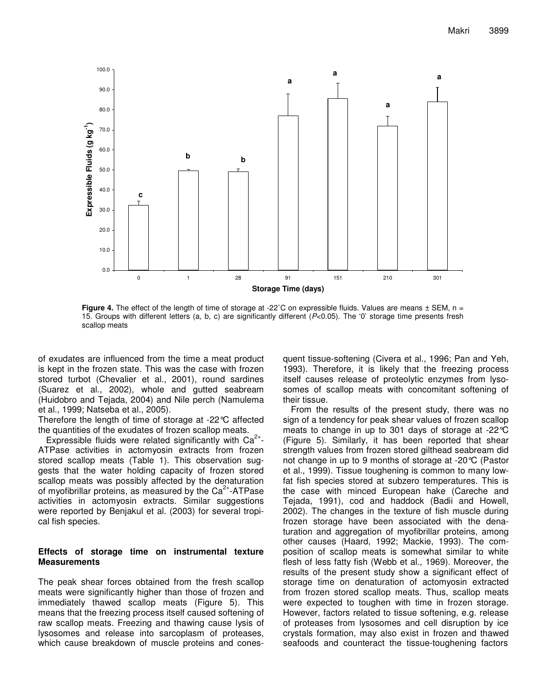

**Figure** 4. The effect of the length of time of storage at -22<sup>°</sup>C on expressible fluids. Values are means  $\pm$  SEM, n = 15. Groups with different letters (a, b, c) are significantly different (*P*<0.05). The '0' storage time presents fresh scallop meats

of exudates are influenced from the time a meat product is kept in the frozen state. This was the case with frozen stored turbot (Chevalier et al., 2001), round sardines (Suarez et al., 2002), whole and gutted seabream (Huidobro and Tejada, 2004) and Nile perch (Namulema et al., 1999; Natseba et al., 2005).

Therefore the length of time of storage at -22°C affected the quantities of the exudates of frozen scallop meats.

Expressible fluids were related significantly with  $Ca^{2+}$ -ATPase activities in actomyosin extracts from frozen stored scallop meats (Table 1). This observation suggests that the water holding capacity of frozen stored scallop meats was possibly affected by the denaturation of myofibrillar proteins, as measured by the Ca<sup>2+</sup>-ATPase activities in actomyosin extracts. Similar suggestions were reported by Benjakul et al. (2003) for several tropical fish species.

# **Effects of storage time on instrumental texture Measurements**

The peak shear forces obtained from the fresh scallop meats were significantly higher than those of frozen and immediately thawed scallop meats (Figure 5). This means that the freezing process itself caused softening of raw scallop meats. Freezing and thawing cause lysis of lysosomes and release into sarcoplasm of proteases, which cause breakdown of muscle proteins and conesquent tissue-softening (Civera et al., 1996; Pan and Yeh, 1993). Therefore, it is likely that the freezing process itself causes release of proteolytic enzymes from lysosomes of scallop meats with concomitant softening of their tissue.

From the results of the present study, there was no sign of a tendency for peak shear values of frozen scallop meats to change in up to 301 days of storage at -22°C (Figure 5). Similarly, it has been reported that shear strength values from frozen stored gilthead seabream did not change in up to 9 months of storage at -20°C (Pastor et al., 1999). Tissue toughening is common to many lowfat fish species stored at subzero temperatures. This is the case with minced European hake (Careche and Tejada, 1991), cod and haddock (Badii and Howell, 2002). The changes in the texture of fish muscle during frozen storage have been associated with the denaturation and aggregation of myofibrillar proteins, among other causes (Haard, 1992; Mackie, 1993). The composition of scallop meats is somewhat similar to white flesh of less fatty fish (Webb et al., 1969). Moreover, the results of the present study show a significant effect of storage time on denaturation of actomyosin extracted from frozen stored scallop meats. Thus, scallop meats were expected to toughen with time in frozen storage. However, factors related to tissue softening, e.g. release of proteases from lysosomes and cell disruption by ice crystals formation, may also exist in frozen and thawed seafoods and counteract the tissue-toughening factors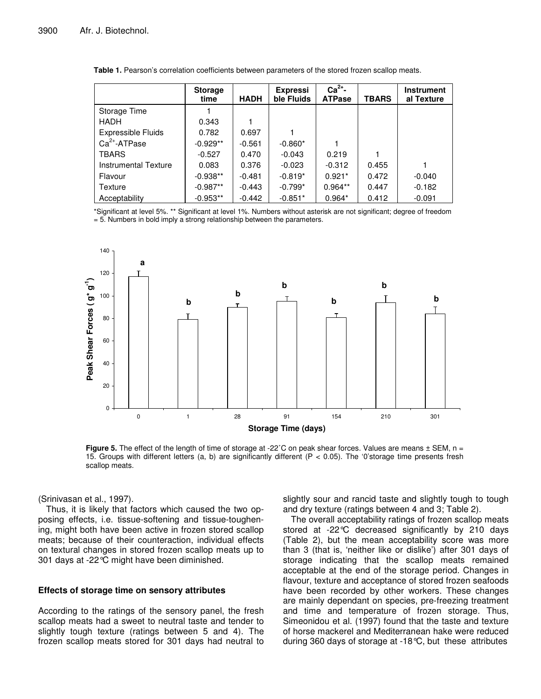|                           | <b>Storage</b><br>time | <b>HADH</b> | <b>Expressi</b><br>ble Fluids | $Ca2+$ -<br><b>ATPase</b> | TBARS | <b>Instrument</b><br>al Texture |
|---------------------------|------------------------|-------------|-------------------------------|---------------------------|-------|---------------------------------|
| Storage Time              |                        |             |                               |                           |       |                                 |
| HADH                      | 0.343                  |             |                               |                           |       |                                 |
| <b>Expressible Fluids</b> | 0.782                  | 0.697       |                               |                           |       |                                 |
| $Ca2+ - ATPase$           | $-0.929**$             | $-0.561$    | $-0.860*$                     |                           |       |                                 |
| TBARS                     | $-0.527$               | 0.470       | $-0.043$                      | 0.219                     |       |                                 |
| Instrumental Texture      | 0.083                  | 0.376       | $-0.023$                      | $-0.312$                  | 0.455 |                                 |
| Flavour                   | $-0.938**$             | $-0.481$    | $-0.819*$                     | $0.921*$                  | 0.472 | $-0.040$                        |
| Texture                   | $-0.987**$             | $-0.443$    | $-0.799*$                     | $0.964**$                 | 0.447 | $-0.182$                        |
| Acceptability             | $-0.953**$             | $-0.442$    | $-0.851*$                     | $0.964*$                  | 0.412 | $-0.091$                        |

**Table 1.** Pearson's correlation coefficients between parameters of the stored frozen scallop meats.

\*Significant at level 5%. \*\* Significant at level 1%. Numbers without asterisk are not significant; degree of freedom = 5. Numbers in bold imply a strong relationship between the parameters.



**Figure** 5. The effect of the length of time of storage at -22°C on peak shear forces. Values are means  $\pm$  SEM, n = 15. Groups with different letters (a, b) are significantly different (P < 0.05). The '0'storage time presents fresh scallop meats.

(Srinivasan et al., 1997).

Thus, it is likely that factors which caused the two opposing effects, i.e. tissue-softening and tissue-toughening, might both have been active in frozen stored scallop meats; because of their counteraction, individual effects on textural changes in stored frozen scallop meats up to 301 days at -22°C might have been diminished.

# **Effects of storage time on sensory attributes**

According to the ratings of the sensory panel, the fresh scallop meats had a sweet to neutral taste and tender to slightly tough texture (ratings between 5 and 4). The frozen scallop meats stored for 301 days had neutral to slightly sour and rancid taste and slightly tough to tough and dry texture (ratings between 4 and 3; Table 2).

The overall acceptability ratings of frozen scallop meats stored at -22°C decreased significantly by 210 days (Table 2), but the mean acceptability score was more than 3 (that is, 'neither like or dislike') after 301 days of storage indicating that the scallop meats remained acceptable at the end of the storage period. Changes in flavour, texture and acceptance of stored frozen seafoods have been recorded by other workers. These changes are mainly dependant on species, pre-freezing treatment and time and temperature of frozen storage. Thus, Simeonidou et al. (1997) found that the taste and texture of horse mackerel and Mediterranean hake were reduced during 360 days of storage at -18°C, but these attributes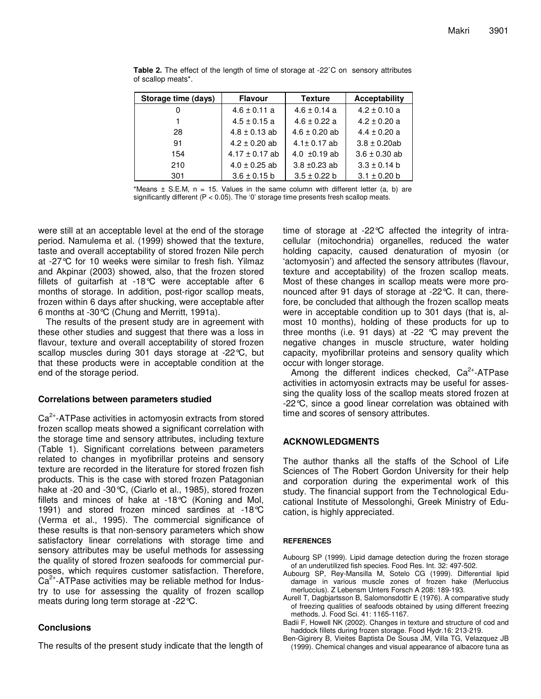| Storage time (days) | <b>Flavour</b>     | <b>Texture</b>    | Acceptability     |
|---------------------|--------------------|-------------------|-------------------|
|                     | $4.6 \pm 0.11$ a   | $4.6 \pm 0.14$ a  | $4.2 \pm 0.10$ a  |
|                     | $4.5 \pm 0.15$ a   | $4.6 \pm 0.22$ a  | $4.2 \pm 0.20$ a  |
| 28                  | $4.8 \pm 0.13$ ab  | $4.6 \pm 0.20$ ab | $4.4 \pm 0.20$ a  |
| 91                  | $4.2 \pm 0.20$ ab  | $4.1 \pm 0.17$ ab | $3.8 \pm 0.20$ ab |
| 154                 | $4.17 \pm 0.17$ ab | 4.0 $\pm$ 0.19 ab | $3.6 \pm 0.30$ ab |
| 210                 | $4.0 \pm 0.25$ ab  | $3.8 + 0.23$ ab   | $3.3 \pm 0.14$ b  |
| 301                 | $3.6 \pm 0.15$ b   | $3.5 \pm 0.22$ b  | $3.1 \pm 0.20$ b  |

**Table 2.** The effect of the length of time of storage at -22˚C on sensory attributes of scallop meats\*.

\*Means  $\pm$  S.E.M,  $n = 15$ . Values in the same column with different letter (a, b) are significantly different ( $P < 0.05$ ). The '0' storage time presents fresh scallop meats.

were still at an acceptable level at the end of the storage period. Namulema et al. (1999) showed that the texture, taste and overall acceptability of stored frozen Nile perch at -27°C for 10 weeks were similar to fresh fish. Yilmaz and Akpinar (2003) showed, also, that the frozen stored fillets of guitarfish at -18°C were acceptable after 6 months of storage. In addition, post-rigor scallop meats, frozen within 6 days after shucking, were acceptable after 6 months at -30°C (Chung and Merritt, 1991a).

The results of the present study are in agreement with these other studies and suggest that there was a loss in flavour, texture and overall acceptability of stored frozen scallop muscles during 301 days storage at -22°C, but that these products were in acceptable condition at the end of the storage period.

# **Correlations between parameters studied**

Ca<sup>2+</sup>-ATPase activities in actomyosin extracts from stored frozen scallop meats showed a significant correlation with the storage time and sensory attributes, including texture (Table 1). Significant correlations between parameters related to changes in myofibrillar proteins and sensory texture are recorded in the literature for stored frozen fish products. This is the case with stored frozen Patagonian hake at -20 and -30°C, (Ciarlo et al., 1985), stored frozen fillets and minces of hake at -18°C (Koning and Mol, 1991) and stored frozen minced sardines at -18°C (Verma et al., 1995). The commercial significance of these results is that non-sensory parameters which show satisfactory linear correlations with storage time and sensory attributes may be useful methods for assessing the quality of stored frozen seafoods for commercial purposes, which requires customer satisfaction. Therefore, Ca<sup>2+</sup>-ATPase activities may be reliable method for Industry to use for assessing the quality of frozen scallop meats during long term storage at -22°C.

# **Conclusions**

The results of the present study indicate that the length of

time of storage at -22°C affected the integrity of intracellular (mitochondria) organelles, reduced the water holding capacity, caused denaturation of myosin (or 'actomyosin') and affected the sensory attributes (flavour, texture and acceptability) of the frozen scallop meats. Most of these changes in scallop meats were more pronounced after 91 days of storage at -22°C. It can, therefore, be concluded that although the frozen scallop meats were in acceptable condition up to 301 days (that is, almost 10 months), holding of these products for up to three months (i.e. 91 days) at -22 °C may prevent the negative changes in muscle structure, water holding capacity, myofibrillar proteins and sensory quality which occur with longer storage.

Among the different indices checked,  $Ca<sup>2+</sup>$ -ATPase activities in actomyosin extracts may be useful for assessing the quality loss of the scallop meats stored frozen at -22°C, since a good linear correlation was obtained with time and scores of sensory attributes.

# **ACKNOWLEDGMENTS**

The author thanks all the staffs of the School of Life Sciences of The Robert Gordon University for their help and corporation during the experimental work of this study. The financial support from the Technological Educational Institute of Messolonghi, Greek Ministry of Education, is highly appreciated.

# **REFERENCES**

- Aubourg SP (1999). Lipid damage detection during the frozen storage of an underutilized fish species. Food Res. Int. 32: 497-502.
- Aubourg SP, Rey-Mansilla M, Sotelo CG (1999). Differential lipid damage in various muscle zones of frozen hake (Merluccius merluccius). Z Lebensm Unters Forsch A 208: 189-193.
- Aurell T, Dagbjartsson B, Salomonsdottir E (1976). A comparative study of freezing qualities of seafoods obtained by using different freezing methods. J. Food Sci. 41: 1165-1167.
- Badii F, Howell NK (2002). Changes in texture and structure of cod and haddock fillets during frozen storage. Food Hydr.16: 213-219.
- Ben-Gigirery B, Vieites Baptista De Sousa JM, Villa TG, Velazquez JB (1999). Chemical changes and visual appearance of albacore tuna as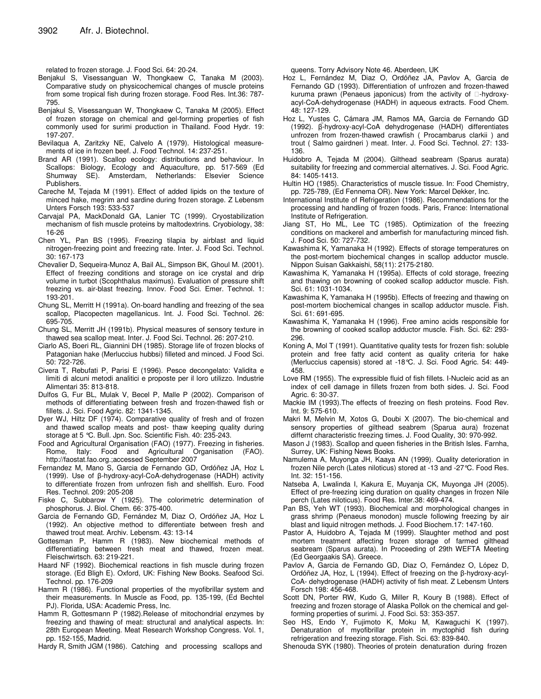related to frozen storage. J. Food Sci. 64: 20-24.

- Benjakul S, Visessanguan W, Thongkaew C, Tanaka M (2003). Comparative study on physicochemical changes of muscle proteins from some tropical fish during frozen storage. Food Res. Int.36: 787- 795.
- Benjakul S, Visessanguan W, Thongkaew C, Tanaka M (2005). Effect of frozen storage on chemical and gel-forming properties of fish commonly used for surimi production in Thailand. Food Hydr. 19: 197-207.
- Bevilaqua A, Zaritzky NE, Calvelo A (1979). Histological measurements of ice in frozen beef. J. Food Technol. 14: 237-251.
- Brand AR (1991). Scallop ecology: distributions and behaviour. In Scallops: Biology, Ecology and Aquaculture, pp. 517-569 (Ed Shumway SE). Amsterdam, Netherlands: Elsevier Science Publishers.
- Careche M, Tejada M (1991). Effect of added lipids on the texture of minced hake, megrim and sardine during frozen storage. Z Lebensm Unters Forsch 193: 533-537
- Carvajal PA, MackDonald GA, Lanier TC (1999). Cryostabilization mechanism of fish muscle proteins by maltodextrins. Cryobiology, 38: 16-26
- Chen YL, Pan BS (1995). Freezing tilapia by airblast and liquid nitrogen-freezing point and freezing rate. Inter. J. Food Sci. Technol. 30: 167-173
- Chevalier D, Sequeira-Munoz A, Bail AL, Simpson BK, Ghoul M. (2001). Effect of freezing conditions and storage on ice crystal and drip volume in turbot (Scophthalus maximus). Evaluation of pressure shift freezing vs. air-blast freezing. Innov. Food Sci. Emer. Technol. 1: 193-201.
- Chung SL, Merritt H (1991a). On-board handling and freezing of the sea scallop, Placopecten magellanicus. Int. J. Food Sci. Technol. 26: 695-705.
- Chung SL, Merritt JH (1991b). Physical measures of sensory texture in thawed sea scallop meat. Inter. J. Food Sci. Technol. 26: 207-210.
- Ciarlo AS, Boeri RL, Giannini DH (1985). Storage life of frozen blocks of Patagonian hake (Merluccius hubbsi) filleted and minced. J Food Sci. 50: 722-726.
- Civera T, Rebufati P, Parisi E (1996). Pesce decongelato: Validita e limiti di alcuni metodi analitici e proposte per il loro utilizzo. Industrie Alimentari 35: 813-818.
- Dulfos G, Fur BL, Mulak V, Becel P, Malle P (2002). Comparison of methods of differentiating between fresh and frozen-thawed fish or fillets. J. Sci. Food Agric. 82: 1341-1345.
- Dyer WJ, Hiltz DF (1974). Comparative quality of fresh and of frozen and thawed scallop meats and post- thaw keeping quality during storage at 5 °C. Bull. Jpn. Soc. Scientific Fish. 40: 235-243.
- Food and Agricultural Organisation (FAO) (1977). Freezing in fisheries. Rome, Italy: Food and Agricultural Organisation (FAO). http://faostat.fao.org.;accessed September 2007
- Fernandez M, Mano S, Garcia de Fernando GD, Ordóñez JA, Hoz L (1999). Use of  $\beta$ -hydroxy-acyl-CoA-dehydrogenase (HADH) activity to differentiate frozen from unfrozen fish and shellfish. Euro. Food Res. Technol. 209: 205-208
- Fiske C, Subbarow Y (1925). The colorimetric determination of phosphorus. J. Biol. Chem. 66: 375-400.
- Garcia de Fernando GD, Fernández M, Diaz O, Ordóñez JA, Hoz L (1992). An objective method to differentiate between fresh and thawed trout meat. Archiv. Lebensm. 43: 13-14
- Gottesman P, Hamm R (1983). New biochemical methods of differentiating between fresh meat and thawed, frozen meat. Fleischwirtsch. 63: 219-221.
- Haard NF (1992). Biochemical reactions in fish muscle during frozen storage. (Ed Bligh E). Oxford, UK: Fishing New Books. Seafood Sci. Technol. pp. 176-209
- Hamm R (1986). Functional properties of the myofibrillar system and their measurements. In Muscle as Food, pp. 135-199, (Ed Bechtel PJ). Florida, USA: Academic Press, Inc.
- Hamm R, Gottesmann P (1982).Release of mitochondrial enzymes by freezing and thawing of meat: structural and analytical aspects. In: 28th European Meeting. Meat Research Workshop Congress. Vol. 1, pp. 152-155, Madrid.
- Hardy R, Smith JGM (1986). Catching and processing scallops and

queens. Torry Advisory Note 46. Aberdeen, UK

- Hoz L, Fernández M, Diaz O, Ordóñez JA, Pavlov A, Garcia de Fernando GD (1993). Differentiation of unfrozen and frozen-thawed kuruma prawn (Penaeus japonicus) from the activity of -hydroxyacyl-CoA-dehydrogenase (HADH) in aqueous extracts. Food Chem. 48: 127-129.
- Hoz L, Yustes C, Cámara JM, Ramos MA, Garcia de Fernando GD (1992).  $\beta$ -hydroxy-acyl-CoA dehydrogenase (HADH) differentiates unfrozen from frozen-thawed crawfish ( Procambarus clarkii ) and trout ( Salmo gairdneri ) meat. Inter. J. Food Sci. Technol. 27: 133- 136.
- Huidobro A, Tejada M (2004). Gilthead seabream (Sparus aurata) suitability for freezing and commercial alternatives. J. Sci. Food Agric. 84: 1405-1413.
- Hultin HO (1985). Characteristics of muscle tissue. In: Food Chemistry, pp. 725-789, (Ed Fennema OR). New York: Marcel Dekker, Inc.
- International Institute of Refrigeration (1986). Recommendations for the processing and handling of frozen foods. Paris, France: International Institute of Refrigeration.
- Jiang ST, Ho ML, Lee TC (1985). Optimization of the freezing conditions on mackerel and amberfish for manufacturing minced fish. J. Food Sci. 50: 727-732.
- Kawashima K, Yamanaka H (1992). Effects of storage temperatures on the post-mortem biochemical changes in scallop adductor muscle. Nippon Suisan Gakkaishi, 58(11): 2175-2180.
- Kawashima K, Yamanaka H (1995a). Effects of cold storage, freezing and thawing on browning of cooked scallop adductor muscle. Fish. Sci. 61: 1031-1034.
- Kawashima K, Yamanaka H (1995b). Effects of freezing and thawing on post-mortem biochemical changes in scallop adductor muscle. Fish. Sci. 61: 691-695.
- Kawashima K, Yamanaka H (1996). Free amino acids responsible for the browning of cooked scallop adductor muscle. Fish. Sci. 62: 293- 296.
- Koning A, Mol T (1991). Quantitative quality tests for frozen fish: soluble protein and free fatty acid content as quality criteria for hake (Merluccius capensis) stored at -18°C. J. Sci. Food Agric. 54: 449- 458.
- Love RM (1955). The expressible fluid of fish fillets. I-Nucleic acid as an index of cell damage in fillets frozen from both sides. J. Sci. Food Agric. 6: 30-37.
- Mackie IM (1993).The effects of freezing on flesh proteins. Food Rev. Int. 9: 575-610.
- Makri M, Melvin M, Xotos G, Doubi X (2007). The bio-chemical and sensory properties of gilthead seabrem (Sparua aura) frozenat differnt characteristic freezing times. J. Food Quality, 30: 970-992.
- Mason J (1983). Scallop and queen fisheries in the British Isles. Farnha, Surrey, UK: Fishing News Books.
- Namulema A, Muyonga JH, Kaaya AN (1999). Quality deterioration in frozen Nile perch (Lates niloticus) stored at -13 and -27°C. Food Res. Int. 32: 151-156.
- Natseba A, Lwalinda I, Kakura E, Muyanja CK, Muyonga JH (2005). Effect of pre-freezing icing duration on quality changes in frozen Nile perch (Lates niloticus). Food Res. Inter.38: 469-474.
- Pan BS, Yeh WT (1993). Biochemical and morphological changes in grass shrimp (Penaeus monodon) muscle following freezing by air blast and liquid nitrogen methods. J. Food Biochem.17: 147-160.
- Pastor A, Huidobro A, Tejada M (1999). Slaughter method and post mortem treatment affecting frozen storage of farmed gilthead seabream (Sparus aurata). In Proceeding of 29th WEFTA Meeting (Ed Georgaakis SA). Greece.
- Pavlov A, Garcia de Fernando GD, Diaz O, Fernández O, López D, Ordóñez JA, Hoz, L (1994). Effect of freezing on the β-hydroxy-acyl-CoA- dehydrogenase (HADH) activity of fish meat. Z Lebensm Unters Forsch 198: 456-468.
- Scott DN, Porter RW, Kudo G, Miller R, Koury B (1988). Effect of freezing and frozen storage of Alaska Pollok on the chemical and gelforming properties of surimi. J. Food Sci. 53: 353-357.
- Seo HS, Endo Y, Fujimoto K, Moku M, Kawaguchi K (1997). Denaturation of myofibrillar protein in myctophid fish during refrigeration and freezing storage. Fish. Sci. 63: 839-840.
- Shenouda SYK (1980). Theories of protein denaturation during frozen